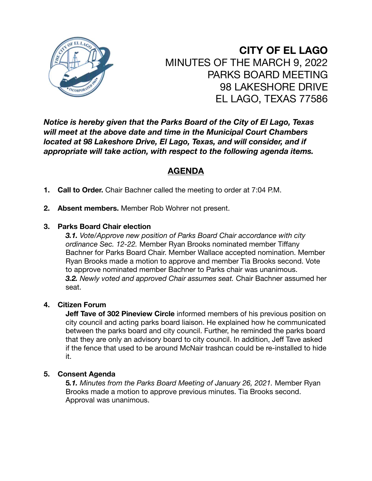

**CITY OF EL LAGO** MINUTES OF THE MARCH 9, 2022 PARKS BOARD MEETING 98 LAKESHORE DRIVE EL LAGO, TEXAS 77586

*Notice is hereby given that the Parks Board of the City of El Lago, Texas will meet at the above date and time in the Municipal Court Chambers located at 98 Lakeshore Drive, El Lago, Texas, and will consider, and if appropriate will take action, with respect to the following agenda items.* 

# **AGENDA**

- **1. Call to Order.** Chair Bachner called the meeting to order at 7:04 P.M.
- **2. Absent members.** Member Rob Wohrer not present.

# **3. Parks Board Chair election**

*3.1. Vote/Approve new position of Parks Board Chair accordance with city ordinance Sec. 12-22.* Member Ryan Brooks nominated member Tiffany Bachner for Parks Board Chair. Member Wallace accepted nomination. Member Ryan Brooks made a motion to approve and member Tia Brooks second. Vote to approve nominated member Bachner to Parks chair was unanimous. *3.2. Newly voted and approved Chair assumes seat.* Chair Bachner assumed her seat.

# **4. Citizen Forum**

**Jeff Tave of 302 Pineview Circle** informed members of his previous position on city council and acting parks board liaison. He explained how he communicated between the parks board and city council. Further, he reminded the parks board that they are only an advisory board to city council. In addition, Jeff Tave asked if the fence that used to be around McNair trashcan could be re-installed to hide it.

### **5. Consent Agenda**

**5***.1. Minutes from the Parks Board Meeting of January 26, 2021.* Member Ryan Brooks made a motion to approve previous minutes. Tia Brooks second. Approval was unanimous.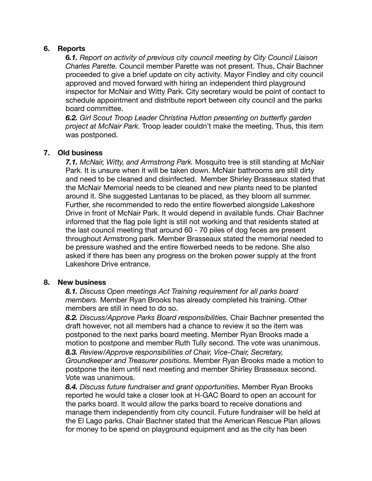## **6. Reports**

**6***.1. Report on activity of previous city council meeting by City Council Liaison Charles Parette.* Council member Parette was not present. Thus, Chair Bachner proceeded to give a brief update on city activity. Mayor Findley and city council approved and moved forward with hiring an independent third playground inspector for McNair and Witty Park. City secretary would be point of contact to schedule appointment and distribute report between city council and the parks board committee.

*6.2. Girl Scout Troop Leader Christina Hutton presenting on butterfly garden project at McNair Park.* Troop leader couldn't make the meeting. Thus, this item was postponed.

## **7. Old business**

*7.1. McNair, Witty, and Armstrong Park.* Mosquito tree is still standing at McNair Park. It is unsure when it will be taken down. McNair bathrooms are still dirty and need to be cleaned and disinfected. Member Shirley Brasseaux stated that the McNair Memorial needs to be cleaned and new plants need to be planted around it. She suggested Lantanas to be placed, as they bloom all summer. Further, she recommended to redo the entire flowerbed alongside Lakeshore Drive in front of McNair Park. It would depend in available funds. Chair Bachner informed that the flag pole light is still not working and that residents stated at the last council meeting that around 60 - 70 piles of dog feces are present throughout Armstrong park. Member Brasseaux stated the memorial needed to be pressure washed and the entire flowerbed needs to be redone. She also asked if there has been any progress on the broken power supply at the front Lakeshore Drive entrance.

### **8. New business**

*8.1. Discuss Open meetings Act Training requirement for all parks board members.* Member Ryan Brooks has already completed his training. Other members are still in need to do so.

*8.2. Discuss/Approve Parks Board responsibilities.* Chair Bachner presented the draft however, not all members had a chance to review it so the item was postponed to the next parks board meeting. Member Ryan Brooks made a motion to postpone and member Ruth Tully second. The vote was unanimous. *8.3. Review/Approve responsibilities of Chair, Vice-Chair, Secretary, Groundkeeper and Treasurer positions.* Member Ryan Brooks made a motion to

postpone the item until next meeting and member Shirley Brasseaux second. Vote was unanimous.

*8.4. Discuss future fundraiser and grant opportunities.* Member Ryan Brooks reported he would take a closer look at H-GAC Board to open an account for the parks board. It would allow the parks board to receive donations and manage them independently from city council. Future fundraiser will be held at the El Lago parks. Chair Bachner stated that the American Rescue Plan allows for money to be spend on playground equipment and as the city has been